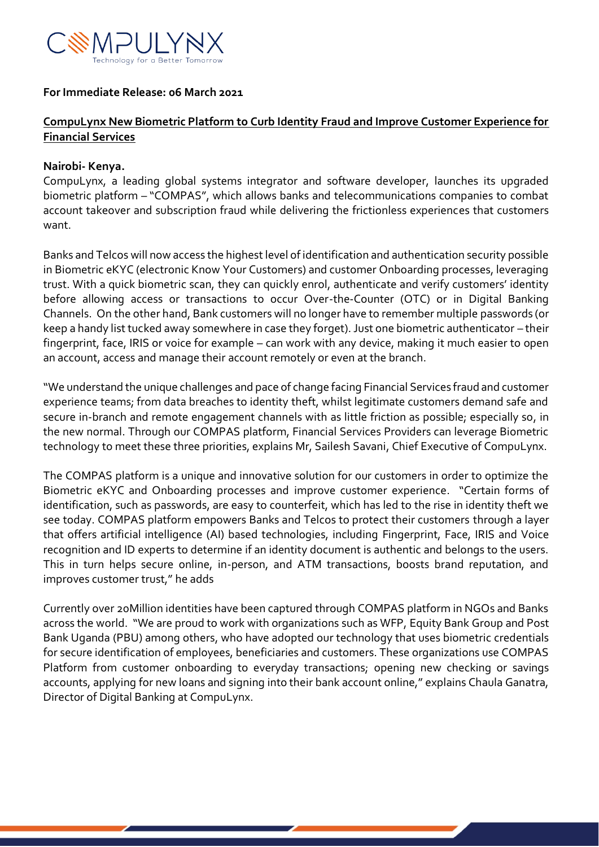

### **For Immediate Release: 06 March 2021**

## **CompuLynx New Biometric Platform to Curb Identity Fraud and Improve Customer Experience for Financial Services**

### **Nairobi- Kenya.**

CompuLynx, a leading global systems integrator and software developer, launches its upgraded biometric platform – "COMPAS", which allows banks and telecommunications companies to combat account takeover and subscription fraud while delivering the frictionless experiences that customers want.

Banks and Telcos will now access the highest level of identification and authentication security possible in Biometric eKYC (electronic Know Your Customers) and customer Onboarding processes, leveraging trust. With a quick biometric scan, they can quickly enrol, authenticate and verify customers' identity before allowing access or transactions to occur Over-the-Counter (OTC) or in Digital Banking Channels. On the other hand, Bank customers will no longer have to remember multiple passwords (or keep a handy list tucked away somewhere in case they forget). Just one biometric authenticator – their fingerprint, face, IRIS or voice for example – can work with any device, making it much easier to open an account, access and manage their account remotely or even at the branch.

"We understand the unique challenges and pace of change facing Financial Services fraud and customer experience teams; from data breaches to identity theft, whilst legitimate customers demand safe and secure in-branch and remote engagement channels with as little friction as possible; especially so, in the new normal. Through our COMPAS platform, Financial Services Providers can leverage Biometric technology to meet these three priorities, explains Mr, Sailesh Savani, Chief Executive of CompuLynx.

The COMPAS platform is a unique and innovative solution for our customers in order to optimize the Biometric eKYC and Onboarding processes and improve customer experience. "Certain forms of identification, such as passwords, are easy to counterfeit, which has led to the rise in identity theft we see today. COMPAS platform empowers Banks and Telcos to protect their customers through a layer that offers artificial intelligence (AI) based technologies, including Fingerprint, Face, IRIS and Voice recognition and ID experts to determine if an identity document is authentic and belongs to the users. This in turn helps secure online, in-person, and ATM transactions, boosts brand reputation, and improves customer trust," he adds

Currently over 20Million identities have been captured through COMPAS platform in NGOs and Banks across the world. "We are proud to work with organizations such as WFP, Equity Bank Group and Post Bank Uganda (PBU) among others, who have adopted our technology that uses biometric credentials for secure identification of employees, beneficiaries and customers. These organizations use COMPAS Platform from customer onboarding to everyday transactions; opening new checking or savings accounts, applying for new loans and signing into their bank account online," explains Chaula Ganatra, Director of Digital Banking at CompuLynx.